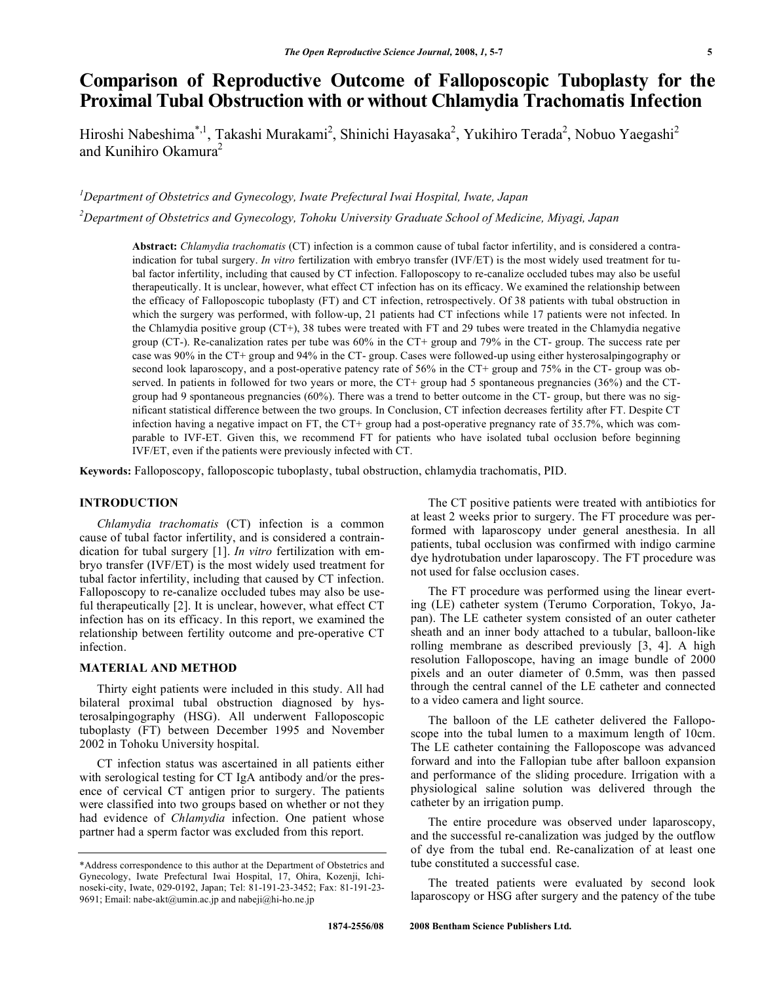# **Comparison of Reproductive Outcome of Falloposcopic Tuboplasty for the Proximal Tubal Obstruction with or without Chlamydia Trachomatis Infection**

Hiroshi Nabeshima<sup>\*, 1</sup>, Takashi Murakami<sup>2</sup>, Shinichi Hayasaka<sup>2</sup>, Yukihiro Terada<sup>2</sup>, Nobuo Yaegashi<sup>2</sup> and Kunihiro Okamura<sup>2</sup>

*1 Department of Obstetrics and Gynecology, Iwate Prefectural Iwai Hospital, Iwate, Japan* 

*2 Department of Obstetrics and Gynecology, Tohoku University Graduate School of Medicine, Miyagi, Japan* 

**Abstract:** *Chlamydia trachomatis* (CT) infection is a common cause of tubal factor infertility, and is considered a contraindication for tubal surgery. *In vitro* fertilization with embryo transfer (IVF/ET) is the most widely used treatment for tubal factor infertility, including that caused by CT infection. Falloposcopy to re-canalize occluded tubes may also be useful therapeutically. It is unclear, however, what effect CT infection has on its efficacy. We examined the relationship between the efficacy of Falloposcopic tuboplasty (FT) and CT infection, retrospectively. Of 38 patients with tubal obstruction in which the surgery was performed, with follow-up, 21 patients had CT infections while 17 patients were not infected. In the Chlamydia positive group (CT+), 38 tubes were treated with FT and 29 tubes were treated in the Chlamydia negative group (CT-). Re-canalization rates per tube was 60% in the CT+ group and 79% in the CT- group. The success rate per case was 90% in the CT+ group and 94% in the CT- group. Cases were followed-up using either hysterosalpingography or second look laparoscopy, and a post-operative patency rate of 56% in the CT+ group and 75% in the CT- group was observed. In patients in followed for two years or more, the CT+ group had 5 spontaneous pregnancies (36%) and the CTgroup had 9 spontaneous pregnancies (60%). There was a trend to better outcome in the CT- group, but there was no significant statistical difference between the two groups. In Conclusion, CT infection decreases fertility after FT. Despite CT infection having a negative impact on FT, the CT+ group had a post-operative pregnancy rate of 35.7%, which was comparable to IVF-ET. Given this, we recommend FT for patients who have isolated tubal occlusion before beginning IVF/ET, even if the patients were previously infected with CT.

**Keywords:** Falloposcopy, falloposcopic tuboplasty, tubal obstruction, chlamydia trachomatis, PID.

# **INTRODUCTION**

 *Chlamydia trachomatis* (CT) infection is a common cause of tubal factor infertility, and is considered a contraindication for tubal surgery [1]. *In vitro* fertilization with embryo transfer (IVF/ET) is the most widely used treatment for tubal factor infertility, including that caused by CT infection. Falloposcopy to re-canalize occluded tubes may also be useful therapeutically [2]. It is unclear, however, what effect CT infection has on its efficacy. In this report, we examined the relationship between fertility outcome and pre-operative CT infection.

# **MATERIAL AND METHOD**

 Thirty eight patients were included in this study. All had bilateral proximal tubal obstruction diagnosed by hysterosalpingography (HSG). All underwent Falloposcopic tuboplasty (FT) between December 1995 and November 2002 in Tohoku University hospital.

 CT infection status was ascertained in all patients either with serological testing for CT IgA antibody and/or the presence of cervical CT antigen prior to surgery. The patients were classified into two groups based on whether or not they had evidence of *Chlamydia* infection. One patient whose partner had a sperm factor was excluded from this report.

 The CT positive patients were treated with antibiotics for at least 2 weeks prior to surgery. The FT procedure was performed with laparoscopy under general anesthesia. In all patients, tubal occlusion was confirmed with indigo carmine dye hydrotubation under laparoscopy. The FT procedure was not used for false occlusion cases.

 The FT procedure was performed using the linear everting (LE) catheter system (Terumo Corporation, Tokyo, Japan). The LE catheter system consisted of an outer catheter sheath and an inner body attached to a tubular, balloon-like rolling membrane as described previously [3, 4]. A high resolution Falloposcope, having an image bundle of 2000 pixels and an outer diameter of 0.5mm, was then passed through the central cannel of the LE catheter and connected to a video camera and light source.

 The balloon of the LE catheter delivered the Falloposcope into the tubal lumen to a maximum length of 10cm. The LE catheter containing the Falloposcope was advanced forward and into the Fallopian tube after balloon expansion and performance of the sliding procedure. Irrigation with a physiological saline solution was delivered through the catheter by an irrigation pump.

 The entire procedure was observed under laparoscopy, and the successful re-canalization was judged by the outflow of dye from the tubal end. Re-canalization of at least one tube constituted a successful case.

 The treated patients were evaluated by second look laparoscopy or HSG after surgery and the patency of the tube

<sup>\*</sup>Address correspondence to this author at the Department of Obstetrics and Gynecology, Iwate Prefectural Iwai Hospital, 17, Ohira, Kozenji, Ichinoseki-city, Iwate, 029-0192, Japan; Tel: 81-191-23-3452; Fax: 81-191-23- 9691; Email: nabe-akt@umin.ac.jp and nabeji@hi-ho.ne.jp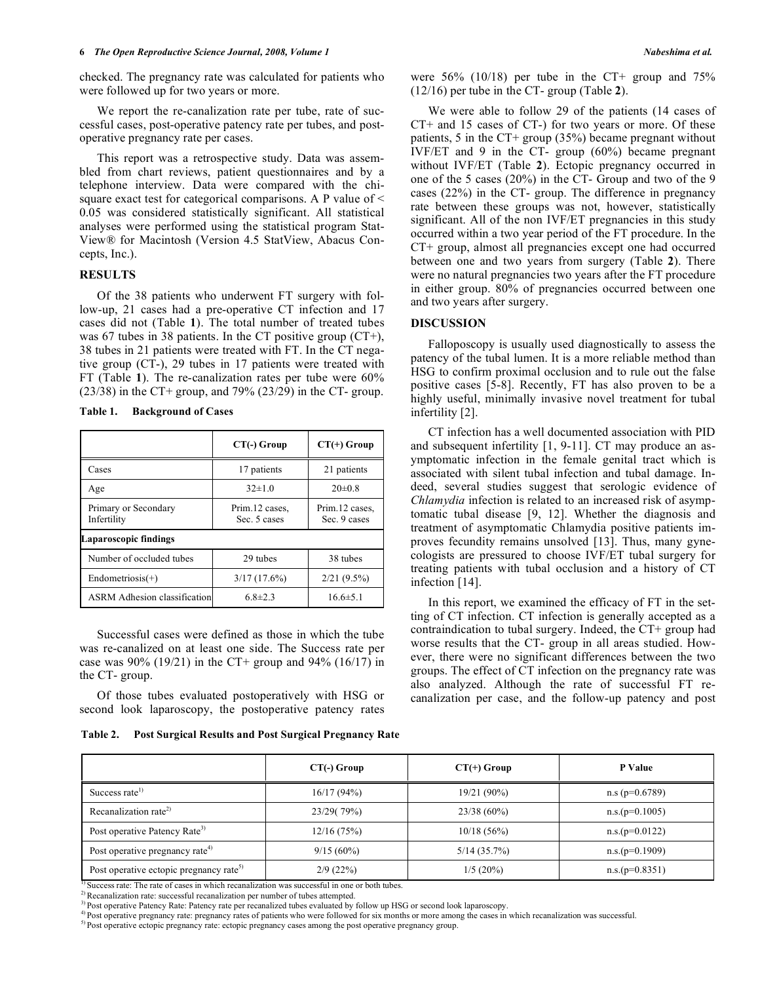checked. The pregnancy rate was calculated for patients who were followed up for two years or more.

We report the re-canalization rate per tube, rate of successful cases, post-operative patency rate per tubes, and postoperative pregnancy rate per cases.

 This report was a retrospective study. Data was assembled from chart reviews, patient questionnaires and by a telephone interview. Data were compared with the chisquare exact test for categorical comparisons. A P value of < 0.05 was considered statistically significant. All statistical analyses were performed using the statistical program Stat-View® for Macintosh (Version 4.5 StatView, Abacus Concepts, Inc.).

# **RESULTS**

 Of the 38 patients who underwent FT surgery with follow-up, 21 cases had a pre-operative CT infection and 17 cases did not (Table **1**). The total number of treated tubes was 67 tubes in 38 patients. In the CT positive group (CT+), 38 tubes in 21 patients were treated with FT. In the CT negative group (CT-), 29 tubes in 17 patients were treated with FT (Table **1**). The re-canalization rates per tube were 60%  $(23/38)$  in the CT+ group, and 79%  $(23/29)$  in the CT- group.

**Table 1. Background of Cases** 

|                                     | CT(-) Group                    | $CT(+)$ Group                  |  |  |  |
|-------------------------------------|--------------------------------|--------------------------------|--|--|--|
| Cases                               | 17 patients                    | 21 patients                    |  |  |  |
| Age                                 | $32\pm1.0$                     | $20\pm0.8$                     |  |  |  |
| Primary or Secondary<br>Infertility | Prim.12 cases,<br>Sec. 5 cases | Prim.12 cases,<br>Sec. 9 cases |  |  |  |
| Laparoscopic findings               |                                |                                |  |  |  |
| Number of occluded tubes            | 29 tubes                       | 38 tubes                       |  |  |  |
| $Endometricsis(+)$                  | 3/17(17.6%)                    | 2/21(9.5%)                     |  |  |  |
| <b>ASRM</b> Adhesion classification | $6.8 \pm 2.3$                  | $16.6 \pm 5.1$                 |  |  |  |

 Successful cases were defined as those in which the tube was re-canalized on at least one side. The Success rate per case was  $90\%$  (19/21) in the CT+ group and  $94\%$  (16/17) in the CT- group.

 Of those tubes evaluated postoperatively with HSG or second look laparoscopy, the postoperative patency rates

| Table 2. | <b>Post Surgical Results and Post Surgical Pregnancy Rate</b> |  |
|----------|---------------------------------------------------------------|--|
|          |                                                               |  |

were  $56\%$  (10/18) per tube in the CT+ group and  $75\%$ (12/16) per tube in the CT- group (Table **2**).

 We were able to follow 29 of the patients (14 cases of CT+ and 15 cases of CT-) for two years or more. Of these patients, 5 in the CT+ group (35%) became pregnant without IVF/ET and 9 in the CT- group (60%) became pregnant without IVF/ET (Table **2**). Ectopic pregnancy occurred in one of the 5 cases (20%) in the CT- Group and two of the 9 cases (22%) in the CT- group. The difference in pregnancy rate between these groups was not, however, statistically significant. All of the non IVF/ET pregnancies in this study occurred within a two year period of the FT procedure. In the CT+ group, almost all pregnancies except one had occurred between one and two years from surgery (Table **2**). There were no natural pregnancies two years after the FT procedure in either group. 80% of pregnancies occurred between one and two years after surgery.

#### **DISCUSSION**

 Falloposcopy is usually used diagnostically to assess the patency of the tubal lumen. It is a more reliable method than HSG to confirm proximal occlusion and to rule out the false positive cases [5-8]. Recently, FT has also proven to be a highly useful, minimally invasive novel treatment for tubal infertility [2].

 CT infection has a well documented association with PID and subsequent infertility [1, 9-11]. CT may produce an asymptomatic infection in the female genital tract which is associated with silent tubal infection and tubal damage. Indeed, several studies suggest that serologic evidence of *Chlamydia* infection is related to an increased risk of asymptomatic tubal disease [9, 12]. Whether the diagnosis and treatment of asymptomatic Chlamydia positive patients improves fecundity remains unsolved [13]. Thus, many gynecologists are pressured to choose IVF/ET tubal surgery for treating patients with tubal occlusion and a history of CT infection [14].

 In this report, we examined the efficacy of FT in the setting of CT infection. CT infection is generally accepted as a contraindication to tubal surgery. Indeed, the CT+ group had worse results that the CT- group in all areas studied. However, there were no significant differences between the two groups. The effect of CT infection on the pregnancy rate was also analyzed. Although the rate of successful FT recanalization per case, and the follow-up patency and post

|                                                     | $CT(-)$ Group | $CT(+)$ Group  | P Value              |
|-----------------------------------------------------|---------------|----------------|----------------------|
| Success rate <sup>1)</sup>                          | 16/17(94%)    | 19/21 (90%)    | $n.s$ ( $p=0.6789$ ) |
| Recanalization rate <sup>2)</sup>                   | 23/29(79%)    | $23/38(60\%)$  | $n.s.(p=0.1005)$     |
| Post operative Patency Rate <sup>3)</sup>           | 12/16(75%)    | 10/18(56%)     | $n.s.(p=0.0122)$     |
| Post operative pregnancy rate <sup>4)</sup>         | $9/15(60\%)$  | $5/14$ (35.7%) | $n.s.(p=0.1909)$     |
| Post operative ectopic pregnancy rate <sup>5)</sup> | 2/9(22%)      | 1/5(20%)       | $n.s.(p=0.8351)$     |

 $\frac{1}{2}$ Success rate: The rate of cases in which recanalization was successful in one or both tubes.<br><sup>2)</sup> Recanalization rate: successful recanalization per number of tubes attempted.

<sup>3)</sup> Post operative Patency Rate: Patency rate per recanalized tubes evaluated by follow up HSG or second look laparoscopy.

<sup>4</sup>) Post operative pregnancy rate: pregnancy rates of patients who were followed for six months or more among the cases in which recanalization was successful.<br><sup>5</sup>) Post operative ectopic pregnancy rate: ectopic pregnanc